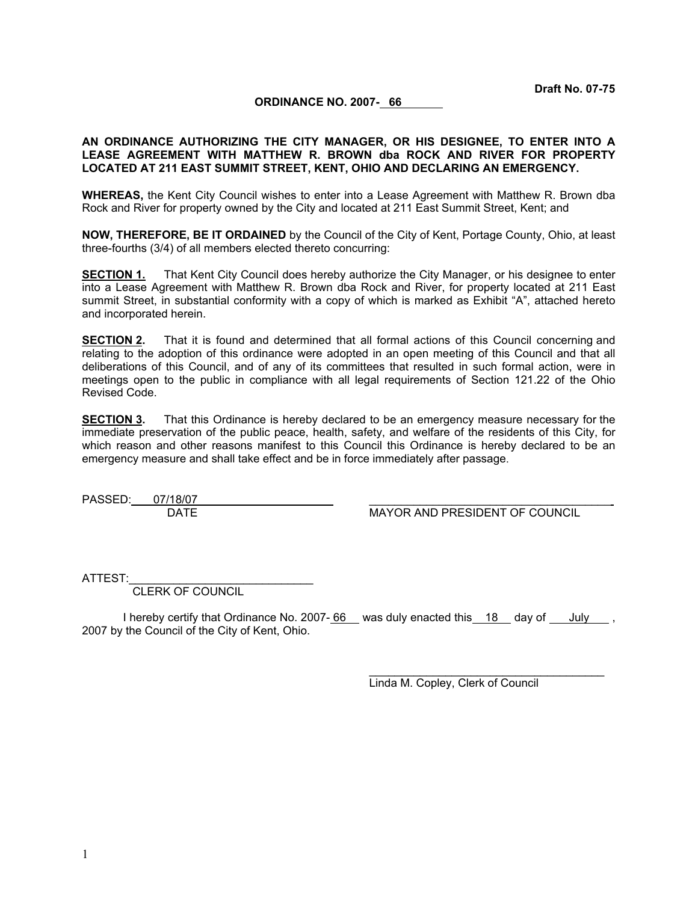**Draft No. 07-75**

#### **ORDINANCE NO. 2007- 66**

### **AN ORDINANCE AUTHORIZING THE CITY MANAGER, OR HIS DESIGNEE, TO ENTER INTO A LEASE AGREEMENT WITH MATTHEW R. BROWN dba ROCK AND RIVER FOR PROPERTY LOCATED AT 211 EAST SUMMIT STREET, KENT, OHIO AND DECLARING AN EMERGENCY.**

**WHEREAS,** the Kent City Council wishes to enter into a Lease Agreement with Matthew R. Brown dba Rock and River for property owned by the City and located at 211 East Summit Street, Kent; and

**NOW, THEREFORE, BE IT ORDAINED** by the Council of the City of Kent, Portage County, Ohio, at least three-fourths (3/4) of all members elected thereto concurring:

**SECTION 1.** That Kent City Council does hereby authorize the City Manager, or his designee to enter into a Lease Agreement with Matthew R. Brown dba Rock and River, for property located at 211 East summit Street, in substantial conformity with a copy of which is marked as Exhibit "A", attached hereto and incorporated herein.

**SECTION 2.** That it is found and determined that all formal actions of this Council concerning and relating to the adoption of this ordinance were adopted in an open meeting of this Council and that all deliberations of this Council, and of any of its committees that resulted in such formal action, were in meetings open to the public in compliance with all legal requirements of Section 121.22 of the Ohio Revised Code.

**SECTION 3.** That this Ordinance is hereby declared to be an emergency measure necessary for the immediate preservation of the public peace, health, safety, and welfare of the residents of this City, for which reason and other reasons manifest to this Council this Ordinance is hereby declared to be an emergency measure and shall take effect and be in force immediately after passage.

PASSED: 07/18/07

DATE MAYOR AND PRESIDENT OF COUNCIL

ATTEST:

CLERK OF COUNCIL

I hereby certify that Ordinance No. 2007- $\underline{66}$  was duly enacted this 18 day of July , 2007 by the Council of the City of Kent, Ohio.

Linda M. Copley, Clerk of Council

\_\_\_\_\_\_\_\_\_\_\_\_\_\_\_\_\_\_\_\_\_\_\_\_\_\_\_\_\_\_\_\_\_\_\_\_\_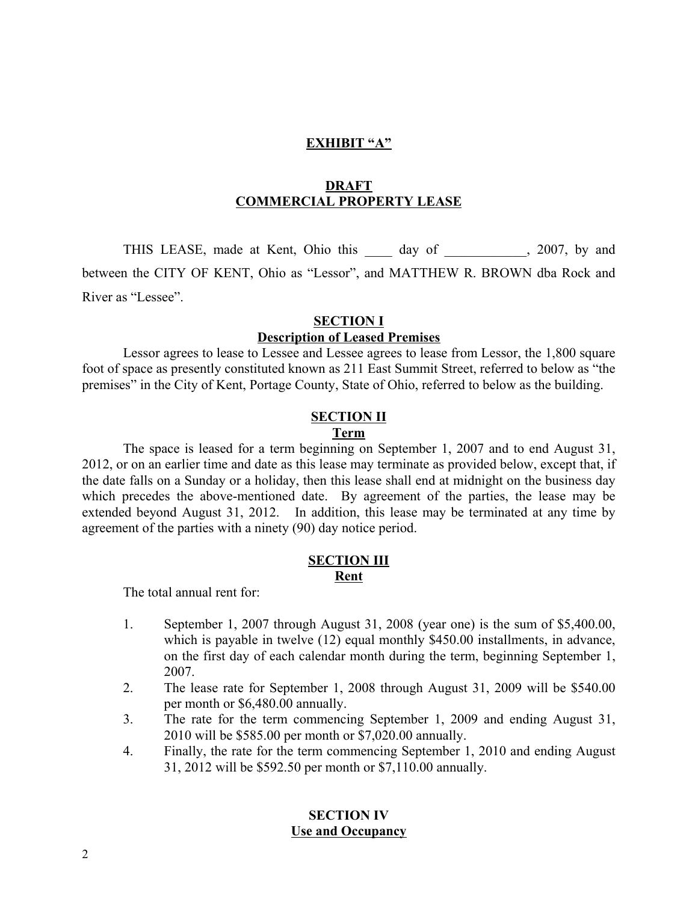### **EXHIBIT "A"**

### **DRAFT COMMERCIAL PROPERTY LEASE**

THIS LEASE, made at Kent, Ohio this \_\_\_\_\_ day of \_\_\_\_\_\_\_\_\_\_, 2007, by and between the CITY OF KENT, Ohio as "Lessor", and MATTHEW R. BROWN dba Rock and River as "Lessee".

# **SECTION I**

### **Description of Leased Premises**

Lessor agrees to lease to Lessee and Lessee agrees to lease from Lessor, the 1,800 square foot of space as presently constituted known as 211 East Summit Street, referred to below as "the premises" in the City of Kent, Portage County, State of Ohio, referred to below as the building.

### **SECTION II Term**

The space is leased for a term beginning on September 1, 2007 and to end August 31, 2012, or on an earlier time and date as this lease may terminate as provided below, except that, if the date falls on a Sunday or a holiday, then this lease shall end at midnight on the business day which precedes the above-mentioned date. By agreement of the parties, the lease may be extended beyond August 31, 2012. In addition, this lease may be terminated at any time by agreement of the parties with a ninety (90) day notice period.

### **SECTION III Rent**

The total annual rent for:

- 1. September 1, 2007 through August 31, 2008 (year one) is the sum of \$5,400.00, which is payable in twelve (12) equal monthly \$450.00 installments, in advance, on the first day of each calendar month during the term, beginning September 1, 2007.
- 2. The lease rate for September 1, 2008 through August 31, 2009 will be \$540.00 per month or \$6,480.00 annually.
- 3. The rate for the term commencing September 1, 2009 and ending August 31, 2010 will be \$585.00 per month or \$7,020.00 annually.
- 4. Finally, the rate for the term commencing September 1, 2010 and ending August 31, 2012 will be \$592.50 per month or \$7,110.00 annually.

# **SECTION IV Use and Occupancy**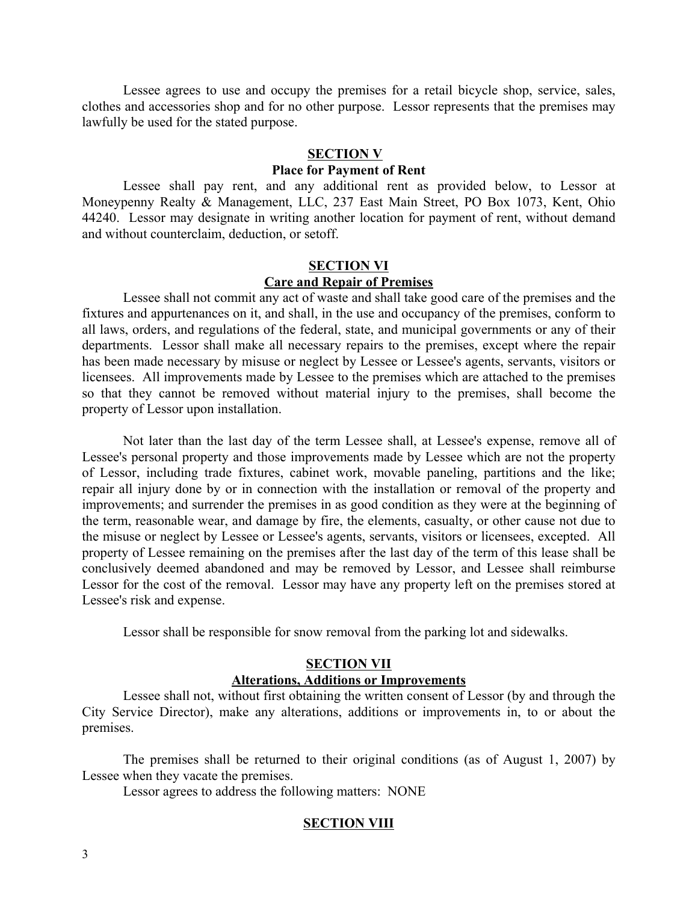Lessee agrees to use and occupy the premises for a retail bicycle shop, service, sales, clothes and accessories shop and for no other purpose. Lessor represents that the premises may lawfully be used for the stated purpose.

### **SECTION V**

# **Place for Payment of Rent**

Lessee shall pay rent, and any additional rent as provided below, to Lessor at Moneypenny Realty & Management, LLC, 237 East Main Street, PO Box 1073, Kent, Ohio 44240. Lessor may designate in writing another location for payment of rent, without demand and without counterclaim, deduction, or setoff.

# **SECTION VI Care and Repair of Premises**

Lessee shall not commit any act of waste and shall take good care of the premises and the fixtures and appurtenances on it, and shall, in the use and occupancy of the premises, conform to all laws, orders, and regulations of the federal, state, and municipal governments or any of their departments. Lessor shall make all necessary repairs to the premises, except where the repair has been made necessary by misuse or neglect by Lessee or Lessee's agents, servants, visitors or licensees. All improvements made by Lessee to the premises which are attached to the premises so that they cannot be removed without material injury to the premises, shall become the property of Lessor upon installation.

Not later than the last day of the term Lessee shall, at Lessee's expense, remove all of Lessee's personal property and those improvements made by Lessee which are not the property of Lessor, including trade fixtures, cabinet work, movable paneling, partitions and the like; repair all injury done by or in connection with the installation or removal of the property and improvements; and surrender the premises in as good condition as they were at the beginning of the term, reasonable wear, and damage by fire, the elements, casualty, or other cause not due to the misuse or neglect by Lessee or Lessee's agents, servants, visitors or licensees, excepted. All property of Lessee remaining on the premises after the last day of the term of this lease shall be conclusively deemed abandoned and may be removed by Lessor, and Lessee shall reimburse Lessor for the cost of the removal. Lessor may have any property left on the premises stored at Lessee's risk and expense.

Lessor shall be responsible for snow removal from the parking lot and sidewalks.

### **SECTION VII Alterations, Additions or Improvements**

Lessee shall not, without first obtaining the written consent of Lessor (by and through the City Service Director), make any alterations, additions or improvements in, to or about the premises.

The premises shall be returned to their original conditions (as of August 1, 2007) by Lessee when they vacate the premises.

Lessor agrees to address the following matters: NONE

### **SECTION VIII**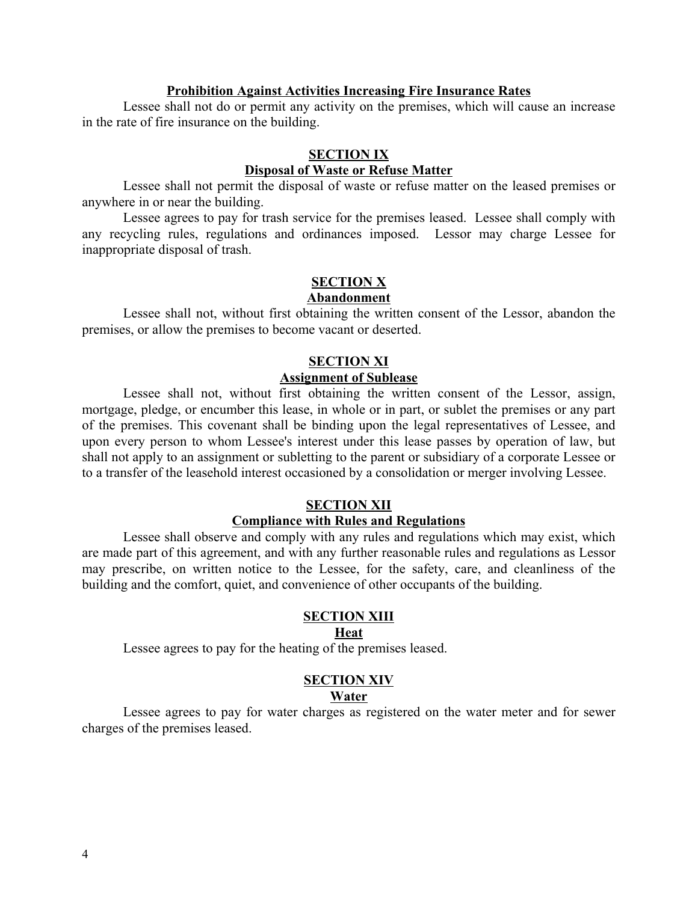### **Prohibition Against Activities Increasing Fire Insurance Rates**

Lessee shall not do or permit any activity on the premises, which will cause an increase in the rate of fire insurance on the building.

### **SECTION IX**

# **Disposal of Waste or Refuse Matter**

Lessee shall not permit the disposal of waste or refuse matter on the leased premises or anywhere in or near the building.

Lessee agrees to pay for trash service for the premises leased. Lessee shall comply with any recycling rules, regulations and ordinances imposed. Lessor may charge Lessee for inappropriate disposal of trash.

# **SECTION X**

# **Abandonment**

Lessee shall not, without first obtaining the written consent of the Lessor, abandon the premises, or allow the premises to become vacant or deserted.

# **SECTION XI**

# **Assignment of Sublease**

Lessee shall not, without first obtaining the written consent of the Lessor, assign, mortgage, pledge, or encumber this lease, in whole or in part, or sublet the premises or any part of the premises. This covenant shall be binding upon the legal representatives of Lessee, and upon every person to whom Lessee's interest under this lease passes by operation of law, but shall not apply to an assignment or subletting to the parent or subsidiary of a corporate Lessee or to a transfer of the leasehold interest occasioned by a consolidation or merger involving Lessee.

### **SECTION XII**

### **Compliance with Rules and Regulations**

Lessee shall observe and comply with any rules and regulations which may exist, which are made part of this agreement, and with any further reasonable rules and regulations as Lessor may prescribe, on written notice to the Lessee, for the safety, care, and cleanliness of the building and the comfort, quiet, and convenience of other occupants of the building.

### **SECTION XIII**

### **Heat**

Lessee agrees to pay for the heating of the premises leased.

### **SECTION XIV**

### **Water**

Lessee agrees to pay for water charges as registered on the water meter and for sewer charges of the premises leased.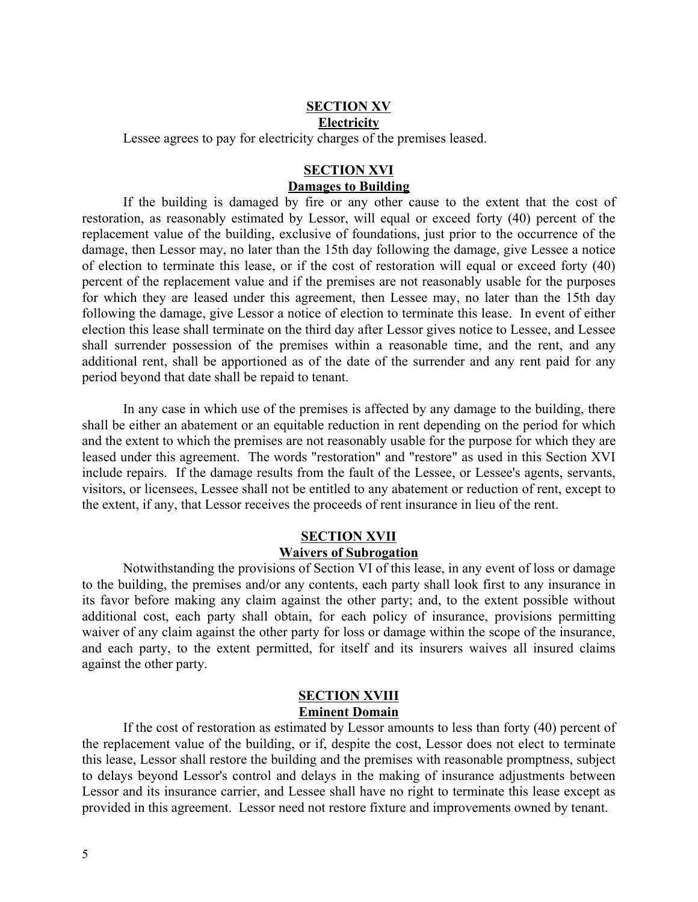### **SECTION XV Electricity**

Lessee agrees to pay for electricity charges of the premises leased.

# **SECTION XVI Damages to Building**

If the building is damaged by fire or any other cause to the extent that the cost of restoration, as reasonably estimated by Lessor, will equal or exceed forty (40) percent of the replacement value of the building, exclusive of foundations, just prior to the occurrence of the damage, then Lessor may, no later than the 15th day following the damage, give Lessee a notice of election to terminate this lease, or if the cost of restoration will equal or exceed forty (40) percent of the replacement value and if the premises are not reasonably usable for the purposes for which they are leased under this agreement, then Lessee may, no later than the 15th day following the damage, give Lessor a notice of election to terminate this lease. In event of either election this lease shall terminate on the third day after Lessor gives notice to Lessee, and Lessee shall surrender possession of the premises within a reasonable time, and the rent, and any additional rent, shall be apportioned as of the date of the surrender and any rent paid for any period beyond that date shall be repaid to tenant.

In any case in which use of the premises is affected by any damage to the building, there shall be either an abatement or an equitable reduction in rent depending on the period for which and the extent to which the premises are not reasonably usable for the purpose for which they are leased under this agreement. The words "restoration" and "restore" as used in this Section XVI include repairs. If the damage results from the fault of the Lessee, or Lessee's agents, servants, visitors, or licensees, Lessee shall not be entitled to any abatement or reduction of rent, except to the extent, if any, that Lessor receives the proceeds of rent insurance in lieu of the rent.

### **SECTION XVII Waivers of Subrogation**

Notwithstanding the provisions of Section VI of this lease, in any event of loss or damage to the building, the premises and/or any contents, each party shall look first to any insurance in its favor before making any claim against the other party; and, to the extent possible without additional cost, each party shall obtain, for each policy of insurance, provisions permitting waiver of any claim against the other party for loss or damage within the scope of the insurance, and each party, to the extent permitted, for itself and its insurers waives all insured claims against the other party.

### **SECTION XVIII Eminent Domain**

If the cost of restoration as estimated by Lessor amounts to less than forty (40) percent of the replacement value of the building, or if, despite the cost, Lessor does not elect to terminate this lease, Lessor shall restore the building and the premises with reasonable promptness, subject to delays beyond Lessor's control and delays in the making of insurance adjustments between Lessor and its insurance carrier, and Lessee shall have no right to terminate this lease except as provided in this agreement. Lessor need not restore fixture and improvements owned by tenant.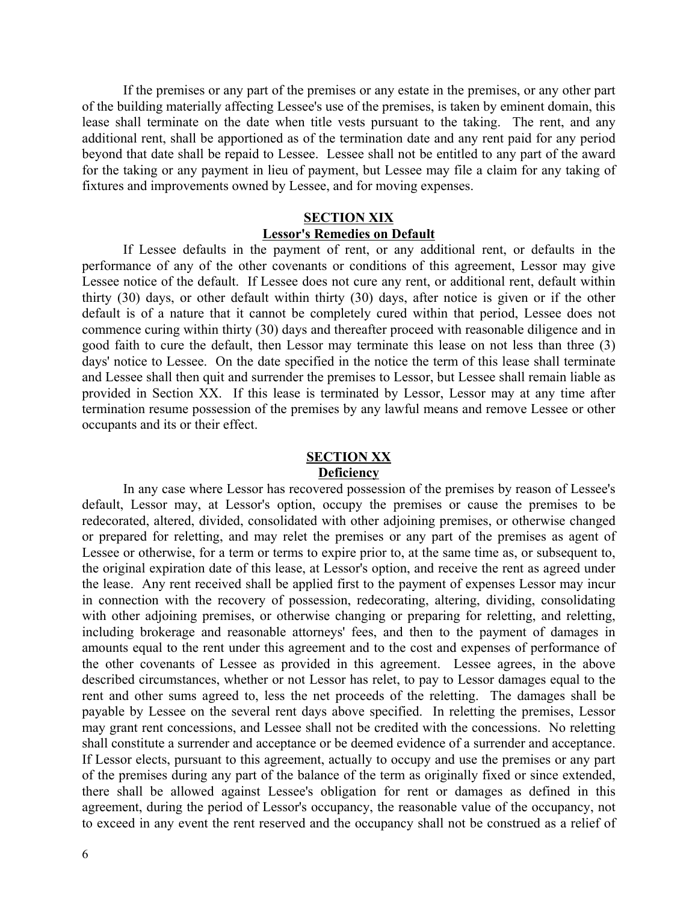If the premises or any part of the premises or any estate in the premises, or any other part of the building materially affecting Lessee's use of the premises, is taken by eminent domain, this lease shall terminate on the date when title vests pursuant to the taking. The rent, and any additional rent, shall be apportioned as of the termination date and any rent paid for any period beyond that date shall be repaid to Lessee. Lessee shall not be entitled to any part of the award for the taking or any payment in lieu of payment, but Lessee may file a claim for any taking of fixtures and improvements owned by Lessee, and for moving expenses.

### **SECTION XIX Lessor's Remedies on Default**

If Lessee defaults in the payment of rent, or any additional rent, or defaults in the performance of any of the other covenants or conditions of this agreement, Lessor may give Lessee notice of the default. If Lessee does not cure any rent, or additional rent, default within thirty (30) days, or other default within thirty (30) days, after notice is given or if the other default is of a nature that it cannot be completely cured within that period, Lessee does not commence curing within thirty (30) days and thereafter proceed with reasonable diligence and in good faith to cure the default, then Lessor may terminate this lease on not less than three (3) days' notice to Lessee. On the date specified in the notice the term of this lease shall terminate and Lessee shall then quit and surrender the premises to Lessor, but Lessee shall remain liable as provided in Section XX. If this lease is terminated by Lessor, Lessor may at any time after termination resume possession of the premises by any lawful means and remove Lessee or other occupants and its or their effect.

### **SECTION XX Deficiency**

In any case where Lessor has recovered possession of the premises by reason of Lessee's default, Lessor may, at Lessor's option, occupy the premises or cause the premises to be redecorated, altered, divided, consolidated with other adjoining premises, or otherwise changed or prepared for reletting, and may relet the premises or any part of the premises as agent of Lessee or otherwise, for a term or terms to expire prior to, at the same time as, or subsequent to, the original expiration date of this lease, at Lessor's option, and receive the rent as agreed under the lease. Any rent received shall be applied first to the payment of expenses Lessor may incur in connection with the recovery of possession, redecorating, altering, dividing, consolidating with other adjoining premises, or otherwise changing or preparing for reletting, and reletting, including brokerage and reasonable attorneys' fees, and then to the payment of damages in amounts equal to the rent under this agreement and to the cost and expenses of performance of the other covenants of Lessee as provided in this agreement. Lessee agrees, in the above described circumstances, whether or not Lessor has relet, to pay to Lessor damages equal to the rent and other sums agreed to, less the net proceeds of the reletting. The damages shall be payable by Lessee on the several rent days above specified. In reletting the premises, Lessor may grant rent concessions, and Lessee shall not be credited with the concessions. No reletting shall constitute a surrender and acceptance or be deemed evidence of a surrender and acceptance. If Lessor elects, pursuant to this agreement, actually to occupy and use the premises or any part of the premises during any part of the balance of the term as originally fixed or since extended, there shall be allowed against Lessee's obligation for rent or damages as defined in this agreement, during the period of Lessor's occupancy, the reasonable value of the occupancy, not to exceed in any event the rent reserved and the occupancy shall not be construed as a relief of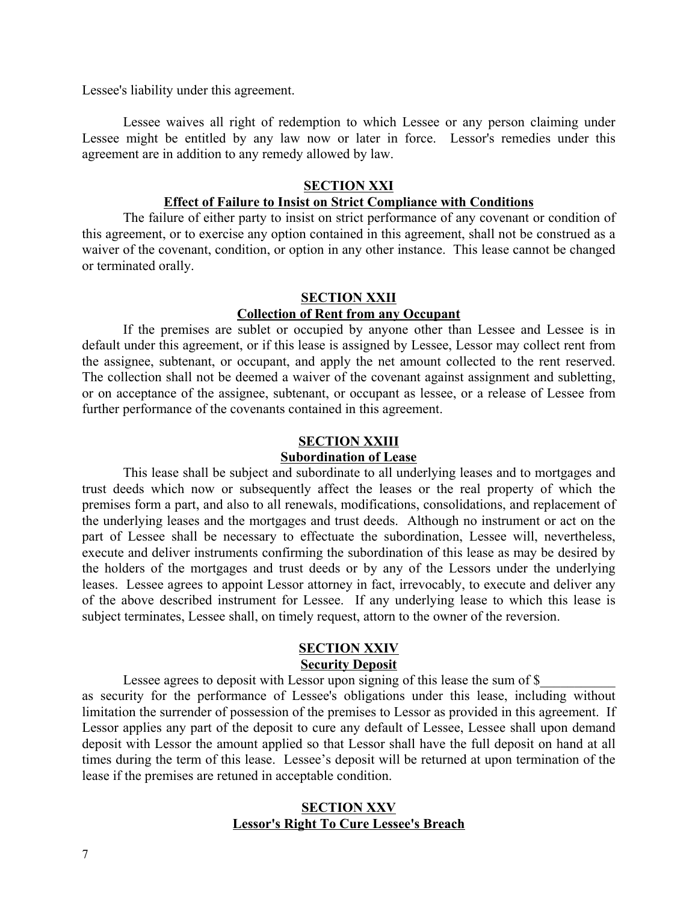Lessee's liability under this agreement.

Lessee waives all right of redemption to which Lessee or any person claiming under Lessee might be entitled by any law now or later in force. Lessor's remedies under this agreement are in addition to any remedy allowed by law.

### **SECTION XXI**

### **Effect of Failure to Insist on Strict Compliance with Conditions**

The failure of either party to insist on strict performance of any covenant or condition of this agreement, or to exercise any option contained in this agreement, shall not be construed as a waiver of the covenant, condition, or option in any other instance. This lease cannot be changed or terminated orally.

#### **SECTION XXII**

### **Collection of Rent from any Occupant**

If the premises are sublet or occupied by anyone other than Lessee and Lessee is in default under this agreement, or if this lease is assigned by Lessee, Lessor may collect rent from the assignee, subtenant, or occupant, and apply the net amount collected to the rent reserved. The collection shall not be deemed a waiver of the covenant against assignment and subletting, or on acceptance of the assignee, subtenant, or occupant as lessee, or a release of Lessee from further performance of the covenants contained in this agreement.

# **SECTION XXIII**

# **Subordination of Lease**

This lease shall be subject and subordinate to all underlying leases and to mortgages and trust deeds which now or subsequently affect the leases or the real property of which the premises form a part, and also to all renewals, modifications, consolidations, and replacement of the underlying leases and the mortgages and trust deeds. Although no instrument or act on the part of Lessee shall be necessary to effectuate the subordination, Lessee will, nevertheless, execute and deliver instruments confirming the subordination of this lease as may be desired by the holders of the mortgages and trust deeds or by any of the Lessors under the underlying leases. Lessee agrees to appoint Lessor attorney in fact, irrevocably, to execute and deliver any of the above described instrument for Lessee. If any underlying lease to which this lease is subject terminates, Lessee shall, on timely request, attorn to the owner of the reversion.

### **SECTION XXIV Security Deposit**

Lessee agrees to deposit with Lessor upon signing of this lease the sum of  $\$$ as security for the performance of Lessee's obligations under this lease, including without limitation the surrender of possession of the premises to Lessor as provided in this agreement. If Lessor applies any part of the deposit to cure any default of Lessee, Lessee shall upon demand deposit with Lessor the amount applied so that Lessor shall have the full deposit on hand at all times during the term of this lease. Lessee's deposit will be returned at upon termination of the lease if the premises are retuned in acceptable condition.

# **SECTION XXV Lessor's Right To Cure Lessee's Breach**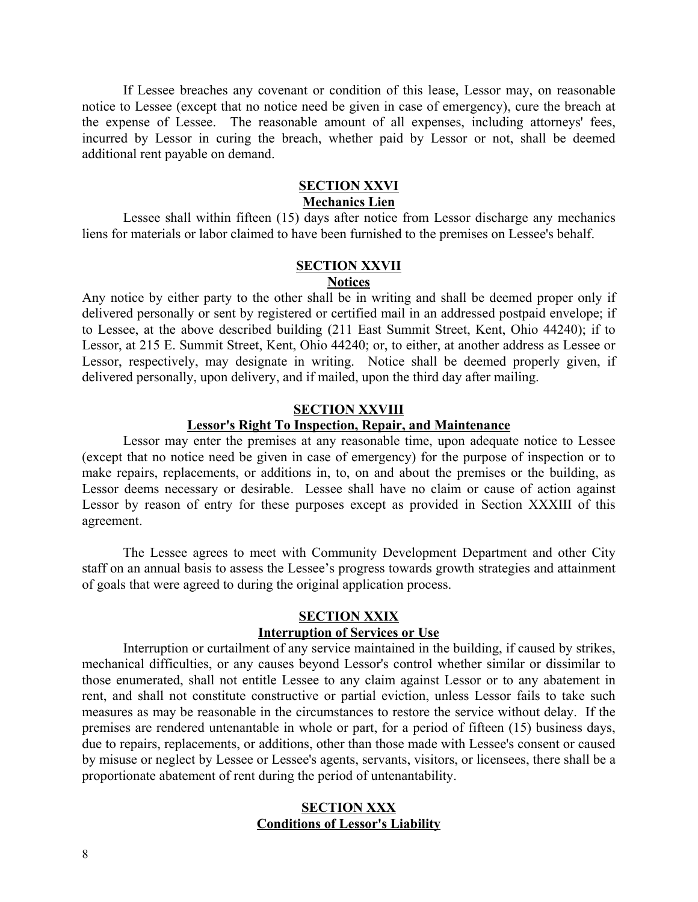If Lessee breaches any covenant or condition of this lease, Lessor may, on reasonable notice to Lessee (except that no notice need be given in case of emergency), cure the breach at the expense of Lessee. The reasonable amount of all expenses, including attorneys' fees, incurred by Lessor in curing the breach, whether paid by Lessor or not, shall be deemed additional rent payable on demand.

### **SECTION XXVI**

# **Mechanics Lien**

Lessee shall within fifteen (15) days after notice from Lessor discharge any mechanics liens for materials or labor claimed to have been furnished to the premises on Lessee's behalf.

# **SECTION XXVII**

# **Notices**

Any notice by either party to the other shall be in writing and shall be deemed proper only if delivered personally or sent by registered or certified mail in an addressed postpaid envelope; if to Lessee, at the above described building (211 East Summit Street, Kent, Ohio 44240); if to Lessor, at 215 E. Summit Street, Kent, Ohio 44240; or, to either, at another address as Lessee or Lessor, respectively, may designate in writing. Notice shall be deemed properly given, if delivered personally, upon delivery, and if mailed, upon the third day after mailing.

### **SECTION XXVIII**

### **Lessor's Right To Inspection, Repair, and Maintenance**

Lessor may enter the premises at any reasonable time, upon adequate notice to Lessee (except that no notice need be given in case of emergency) for the purpose of inspection or to make repairs, replacements, or additions in, to, on and about the premises or the building, as Lessor deems necessary or desirable. Lessee shall have no claim or cause of action against Lessor by reason of entry for these purposes except as provided in Section XXXIII of this agreement.

The Lessee agrees to meet with Community Development Department and other City staff on an annual basis to assess the Lessee's progress towards growth strategies and attainment of goals that were agreed to during the original application process.

### **SECTION XXIX**

### **Interruption of Services or Use**

Interruption or curtailment of any service maintained in the building, if caused by strikes, mechanical difficulties, or any causes beyond Lessor's control whether similar or dissimilar to those enumerated, shall not entitle Lessee to any claim against Lessor or to any abatement in rent, and shall not constitute constructive or partial eviction, unless Lessor fails to take such measures as may be reasonable in the circumstances to restore the service without delay. If the premises are rendered untenantable in whole or part, for a period of fifteen (15) business days, due to repairs, replacements, or additions, other than those made with Lessee's consent or caused by misuse or neglect by Lessee or Lessee's agents, servants, visitors, or licensees, there shall be a proportionate abatement of rent during the period of untenantability.

# **SECTION XXX Conditions of Lessor's Liability**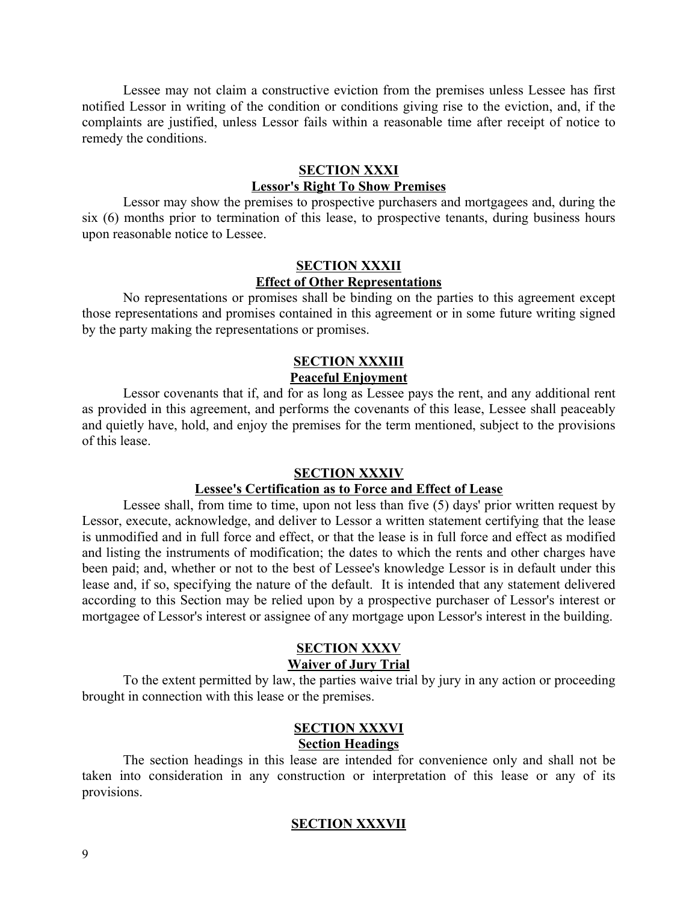Lessee may not claim a constructive eviction from the premises unless Lessee has first notified Lessor in writing of the condition or conditions giving rise to the eviction, and, if the complaints are justified, unless Lessor fails within a reasonable time after receipt of notice to remedy the conditions.

# **SECTION XXXI**

### **Lessor's Right To Show Premises**

Lessor may show the premises to prospective purchasers and mortgagees and, during the six (6) months prior to termination of this lease, to prospective tenants, during business hours upon reasonable notice to Lessee.

### **SECTION XXXII Effect of Other Representations**

No representations or promises shall be binding on the parties to this agreement except those representations and promises contained in this agreement or in some future writing signed by the party making the representations or promises.

### **SECTION XXXIII Peaceful Enjoyment**

Lessor covenants that if, and for as long as Lessee pays the rent, and any additional rent as provided in this agreement, and performs the covenants of this lease, Lessee shall peaceably and quietly have, hold, and enjoy the premises for the term mentioned, subject to the provisions of this lease.

# **SECTION XXXIV**

# **Lessee's Certification as to Force and Effect of Lease**

Lessee shall, from time to time, upon not less than five (5) days' prior written request by Lessor, execute, acknowledge, and deliver to Lessor a written statement certifying that the lease is unmodified and in full force and effect, or that the lease is in full force and effect as modified and listing the instruments of modification; the dates to which the rents and other charges have been paid; and, whether or not to the best of Lessee's knowledge Lessor is in default under this lease and, if so, specifying the nature of the default. It is intended that any statement delivered according to this Section may be relied upon by a prospective purchaser of Lessor's interest or mortgagee of Lessor's interest or assignee of any mortgage upon Lessor's interest in the building.

# **SECTION XXXV**

# **Waiver of Jury Trial**

To the extent permitted by law, the parties waive trial by jury in any action or proceeding brought in connection with this lease or the premises.

### **SECTION XXXVI Section Headings**

The section headings in this lease are intended for convenience only and shall not be taken into consideration in any construction or interpretation of this lease or any of its provisions.

### **SECTION XXXVII**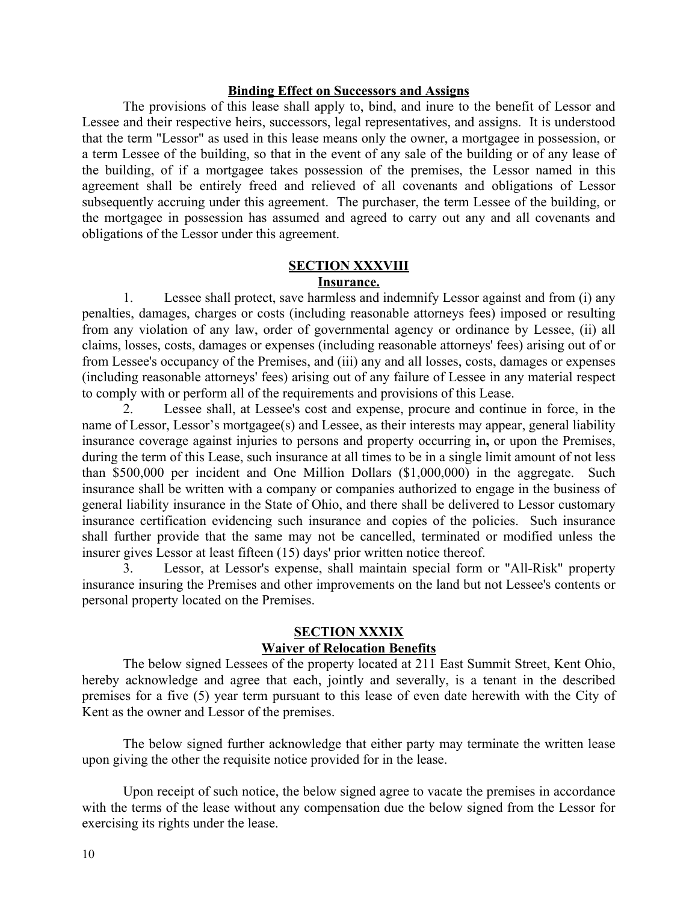### **Binding Effect on Successors and Assigns**

The provisions of this lease shall apply to, bind, and inure to the benefit of Lessor and Lessee and their respective heirs, successors, legal representatives, and assigns. It is understood that the term "Lessor" as used in this lease means only the owner, a mortgagee in possession, or a term Lessee of the building, so that in the event of any sale of the building or of any lease of the building, of if a mortgagee takes possession of the premises, the Lessor named in this agreement shall be entirely freed and relieved of all covenants and obligations of Lessor subsequently accruing under this agreement. The purchaser, the term Lessee of the building, or the mortgagee in possession has assumed and agreed to carry out any and all covenants and obligations of the Lessor under this agreement.

### **SECTION XXXVIII Insurance.**

1. Lessee shall protect, save harmless and indemnify Lessor against and from (i) any penalties, damages, charges or costs (including reasonable attorneys fees) imposed or resulting from any violation of any law, order of governmental agency or ordinance by Lessee, (ii) all claims, losses, costs, damages or expenses (including reasonable attorneys' fees) arising out of or from Lessee's occupancy of the Premises, and (iii) any and all losses, costs, damages or expenses (including reasonable attorneys' fees) arising out of any failure of Lessee in any material respect to comply with or perform all of the requirements and provisions of this Lease.

2. Lessee shall, at Lessee's cost and expense, procure and continue in force, in the name of Lessor, Lessor's mortgagee(s) and Lessee, as their interests may appear, general liability insurance coverage against injuries to persons and property occurring in**,** or upon the Premises, during the term of this Lease, such insurance at all times to be in a single limit amount of not less than \$500,000 per incident and One Million Dollars (\$1,000,000) in the aggregate. Such insurance shall be written with a company or companies authorized to engage in the business of general liability insurance in the State of Ohio, and there shall be delivered to Lessor customary insurance certification evidencing such insurance and copies of the policies. Such insurance shall further provide that the same may not be cancelled, terminated or modified unless the insurer gives Lessor at least fifteen (15) days' prior written notice thereof.

Lessor, at Lessor's expense, shall maintain special form or "All-Risk" property insurance insuring the Premises and other improvements on the land but not Lessee's contents or personal property located on the Premises.

### **SECTION XXXIX Waiver of Relocation Benefits**

The below signed Lessees of the property located at 211 East Summit Street, Kent Ohio, hereby acknowledge and agree that each, jointly and severally, is a tenant in the described premises for a five (5) year term pursuant to this lease of even date herewith with the City of Kent as the owner and Lessor of the premises.

The below signed further acknowledge that either party may terminate the written lease upon giving the other the requisite notice provided for in the lease.

Upon receipt of such notice, the below signed agree to vacate the premises in accordance with the terms of the lease without any compensation due the below signed from the Lessor for exercising its rights under the lease.